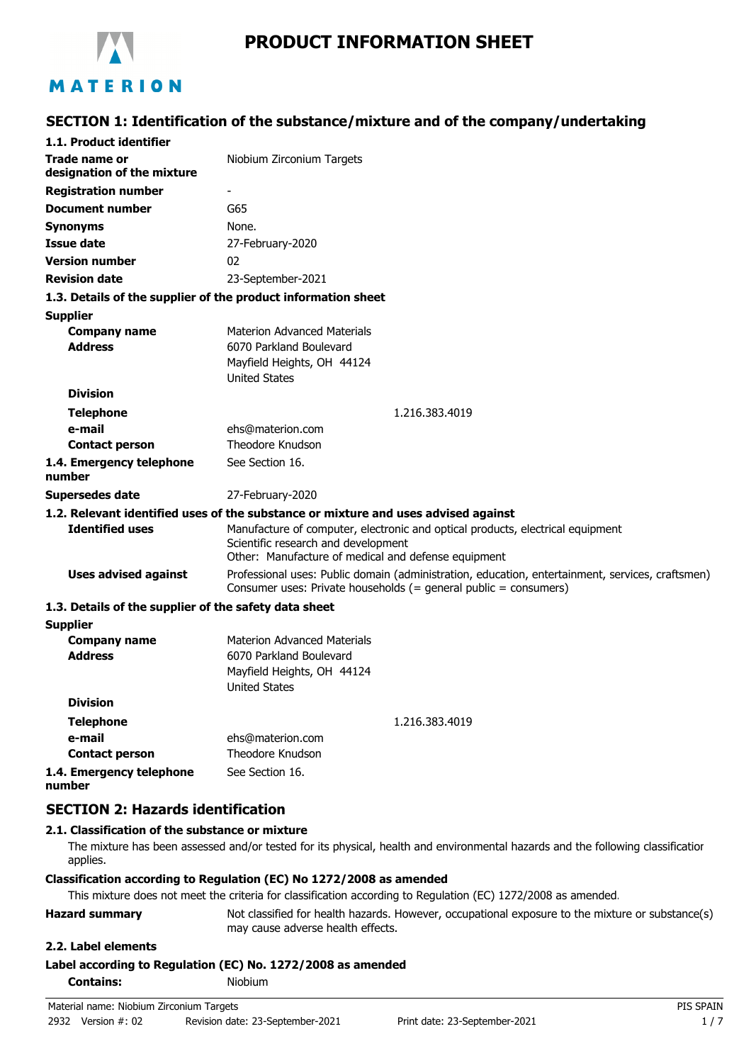

# **PRODUCT INFORMATION SHEET**

# MATERION

# **SECTION 1: Identification of the substance/mixture and of the company/undertaking**

| 1.1. Product identifier                               |                                                                                                                                                                              |  |
|-------------------------------------------------------|------------------------------------------------------------------------------------------------------------------------------------------------------------------------------|--|
| <b>Trade name or</b><br>designation of the mixture    | Niobium Zirconium Targets                                                                                                                                                    |  |
| <b>Registration number</b>                            |                                                                                                                                                                              |  |
| <b>Document number</b>                                | G65                                                                                                                                                                          |  |
| <b>Synonyms</b>                                       | None.                                                                                                                                                                        |  |
| <b>Issue date</b>                                     | 27-February-2020                                                                                                                                                             |  |
| <b>Version number</b>                                 | 02                                                                                                                                                                           |  |
| <b>Revision date</b>                                  | 23-September-2021                                                                                                                                                            |  |
|                                                       | 1.3. Details of the supplier of the product information sheet                                                                                                                |  |
| <b>Supplier</b>                                       |                                                                                                                                                                              |  |
| <b>Company name</b>                                   | <b>Materion Advanced Materials</b>                                                                                                                                           |  |
| <b>Address</b>                                        | 6070 Parkland Boulevard                                                                                                                                                      |  |
|                                                       | Mayfield Heights, OH 44124                                                                                                                                                   |  |
|                                                       | <b>United States</b>                                                                                                                                                         |  |
| <b>Division</b>                                       |                                                                                                                                                                              |  |
| <b>Telephone</b>                                      | 1.216.383.4019                                                                                                                                                               |  |
| e-mail                                                | ehs@materion.com                                                                                                                                                             |  |
| <b>Contact person</b>                                 | Theodore Knudson                                                                                                                                                             |  |
| 1.4. Emergency telephone<br>number                    | See Section 16.                                                                                                                                                              |  |
| Supersedes date                                       | 27-February-2020                                                                                                                                                             |  |
|                                                       | 1.2. Relevant identified uses of the substance or mixture and uses advised against                                                                                           |  |
| <b>Identified uses</b>                                | Manufacture of computer, electronic and optical products, electrical equipment<br>Scientific research and development<br>Other: Manufacture of medical and defense equipment |  |
| <b>Uses advised against</b>                           | Professional uses: Public domain (administration, education, entertainment, services, craftsmen)<br>Consumer uses: Private households (= general public = consumers)         |  |
| 1.3. Details of the supplier of the safety data sheet |                                                                                                                                                                              |  |
| <b>Supplier</b>                                       |                                                                                                                                                                              |  |
| <b>Company name</b>                                   | <b>Materion Advanced Materials</b>                                                                                                                                           |  |
| <b>Address</b>                                        | 6070 Parkland Boulevard                                                                                                                                                      |  |
|                                                       | Mayfield Heights, OH 44124<br><b>United States</b>                                                                                                                           |  |
| <b>Division</b>                                       |                                                                                                                                                                              |  |
|                                                       |                                                                                                                                                                              |  |
| <b>Telephone</b><br>e-mail                            | 1.216.383.4019<br>ehs@materion.com                                                                                                                                           |  |
| <b>Contact person</b>                                 | <b>Theodore Knudson</b>                                                                                                                                                      |  |
| 1.4. Emergency telephone                              | See Section 16.                                                                                                                                                              |  |

**1.4. Emergency telephone number**

## **SECTION 2: Hazards identification**

### **2.1. Classification of the substance or mixture**

The mixture has been assessed and/or tested for its physical, health and environmental hazards and the following classification applies.

#### **Classification according to Regulation (EC) No 1272/2008 as amended**

This mixture does not meet the criteria for classification according to Regulation (EC) 1272/2008 as amended.

**Hazard summary** Not classified for health hazards. However, occupational exposure to the mixture or substance(s) may cause adverse health effects.

### **2.2. Label elements**

### **Label according to Regulation (EC) No. 1272/2008 as amended**

**Contains:** Niobium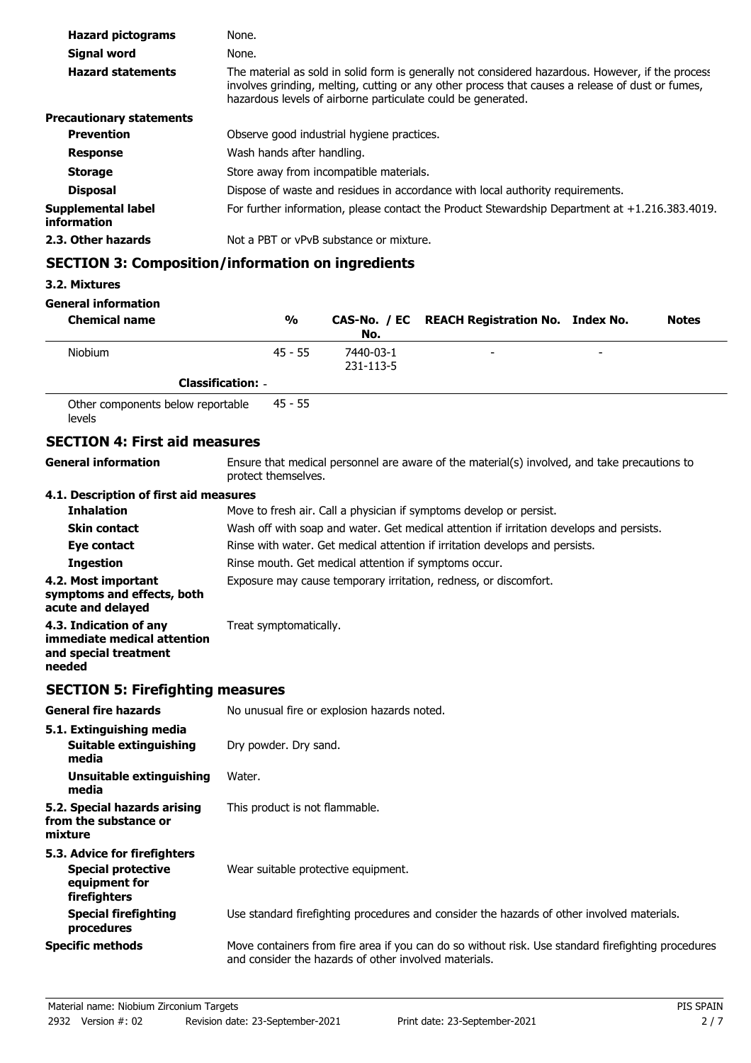| <b>Hazard pictograms</b>          | None.                                                                                                                                                                                                                                                                 |
|-----------------------------------|-----------------------------------------------------------------------------------------------------------------------------------------------------------------------------------------------------------------------------------------------------------------------|
| Signal word                       | None.                                                                                                                                                                                                                                                                 |
| <b>Hazard statements</b>          | The material as sold in solid form is generally not considered hazardous. However, if the process<br>involves grinding, melting, cutting or any other process that causes a release of dust or fumes,<br>hazardous levels of airborne particulate could be generated. |
| <b>Precautionary statements</b>   |                                                                                                                                                                                                                                                                       |
| <b>Prevention</b>                 | Observe good industrial hygiene practices.                                                                                                                                                                                                                            |
| <b>Response</b>                   | Wash hands after handling.                                                                                                                                                                                                                                            |
| <b>Storage</b>                    | Store away from incompatible materials.                                                                                                                                                                                                                               |
| <b>Disposal</b>                   | Dispose of waste and residues in accordance with local authority requirements.                                                                                                                                                                                        |
| Supplemental label<br>information | For further information, please contact the Product Stewardship Department at $+1.216.383.4019$ .                                                                                                                                                                     |
| 2.3. Other hazards                | Not a PBT or vPvB substance or mixture.                                                                                                                                                                                                                               |

# **SECTION 3: Composition/information on ingredients**

## **3.2. Mixtures**

### **General information**

| <b>Chemical name</b>              |                          | %         | No.                    | CAS-No. / EC REACH Registration No. Index No. |                          | <b>Notes</b> |
|-----------------------------------|--------------------------|-----------|------------------------|-----------------------------------------------|--------------------------|--------------|
| <b>Niobium</b>                    |                          | $45 - 55$ | 7440-03-1<br>231-113-5 | -                                             | $\overline{\phantom{a}}$ |              |
|                                   | <b>Classification: -</b> |           |                        |                                               |                          |              |
| Other components helow reportable |                          | 45 - 55   |                        |                                               |                          |              |

Other components below reportable levels 45 - 55

# **SECTION 4: First aid measures**

| <b>General information</b>                                                               | Ensure that medical personnel are aware of the material(s) involved, and take precautions to<br>protect themselves.                                         |
|------------------------------------------------------------------------------------------|-------------------------------------------------------------------------------------------------------------------------------------------------------------|
| 4.1. Description of first aid measures                                                   |                                                                                                                                                             |
| <b>Inhalation</b>                                                                        | Move to fresh air. Call a physician if symptoms develop or persist.                                                                                         |
| <b>Skin contact</b>                                                                      | Wash off with soap and water. Get medical attention if irritation develops and persists.                                                                    |
| Eye contact                                                                              | Rinse with water. Get medical attention if irritation develops and persists.                                                                                |
| <b>Ingestion</b>                                                                         | Rinse mouth. Get medical attention if symptoms occur.                                                                                                       |
| 4.2. Most important<br>symptoms and effects, both<br>acute and delayed                   | Exposure may cause temporary irritation, redness, or discomfort.                                                                                            |
| 4.3. Indication of any<br>immediate medical attention<br>and special treatment<br>needed | Treat symptomatically.                                                                                                                                      |
| <b>SECTION 5: Firefighting measures</b>                                                  |                                                                                                                                                             |
| <b>General fire hazards</b>                                                              | No unusual fire or explosion hazards noted.                                                                                                                 |
| 5.1. Extinguishing media                                                                 |                                                                                                                                                             |
| <b>Suitable extinguishing</b><br>media                                                   | Dry powder. Dry sand.                                                                                                                                       |
| <b>Unsuitable extinguishing</b><br>media                                                 | Water.                                                                                                                                                      |
| 5.2. Special hazards arising<br>from the substance or<br>mixture                         | This product is not flammable.                                                                                                                              |
| 5.3. Advice for firefighters                                                             |                                                                                                                                                             |
| <b>Special protective</b><br>equipment for<br>firefighters                               | Wear suitable protective equipment.                                                                                                                         |
| <b>Special firefighting</b><br>procedures                                                | Use standard firefighting procedures and consider the hazards of other involved materials.                                                                  |
| <b>Specific methods</b>                                                                  | Move containers from fire area if you can do so without risk. Use standard firefighting procedures<br>and consider the hazards of other involved materials. |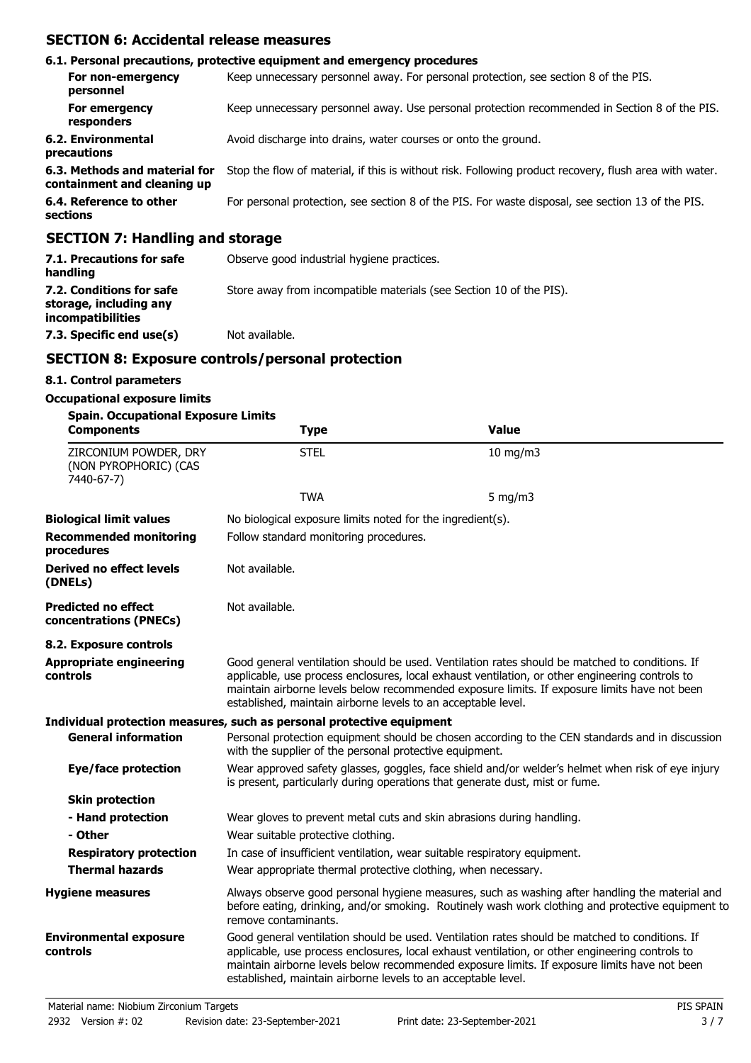# **SECTION 6: Accidental release measures**

|                                                              | 6.1. Personal precautions, protective equipment and emergency procedures                               |
|--------------------------------------------------------------|--------------------------------------------------------------------------------------------------------|
| For non-emergency<br>personnel                               | Keep unnecessary personnel away. For personal protection, see section 8 of the PIS.                    |
| For emergency<br>responders                                  | Keep unnecessary personnel away. Use personal protection recommended in Section 8 of the PIS.          |
| 6.2. Environmental<br>precautions                            | Avoid discharge into drains, water courses or onto the ground.                                         |
| 6.3. Methods and material for<br>containment and cleaning up | Stop the flow of material, if this is without risk. Following product recovery, flush area with water. |
| 6.4. Reference to other<br>sections                          | For personal protection, see section 8 of the PIS. For waste disposal, see section 13 of the PIS.      |
| CECTION 7: Handling and storage                              |                                                                                                        |

### **SECTION 7: Handling and storage**

| 7.1. Precautions for safe<br>handling                                          | Observe good industrial hygiene practices.                          |
|--------------------------------------------------------------------------------|---------------------------------------------------------------------|
| 7.2. Conditions for safe<br>storage, including any<br><i>incompatibilities</i> | Store away from incompatible materials (see Section 10 of the PIS). |
| 7.3. Specific end use(s)                                                       | Not available.                                                      |

# **SECTION 8: Exposure controls/personal protection**

### **8.1. Control parameters**

#### **Occupational exposure limits**

| <b>Spain. Occupational Exposure Limits</b>                   |                                                                                                                                                                                   |                                                                                                                                                                                                                                                                                                   |  |  |
|--------------------------------------------------------------|-----------------------------------------------------------------------------------------------------------------------------------------------------------------------------------|---------------------------------------------------------------------------------------------------------------------------------------------------------------------------------------------------------------------------------------------------------------------------------------------------|--|--|
| <b>Components</b>                                            | <b>Type</b>                                                                                                                                                                       | <b>Value</b>                                                                                                                                                                                                                                                                                      |  |  |
| ZIRCONIUM POWDER, DRY<br>(NON PYROPHORIC) (CAS<br>7440-67-7) | <b>STEL</b>                                                                                                                                                                       | 10 mg/m3                                                                                                                                                                                                                                                                                          |  |  |
|                                                              | <b>TWA</b>                                                                                                                                                                        | 5 mg/m $3$                                                                                                                                                                                                                                                                                        |  |  |
| <b>Biological limit values</b>                               | No biological exposure limits noted for the ingredient(s).                                                                                                                        |                                                                                                                                                                                                                                                                                                   |  |  |
| <b>Recommended monitoring</b><br>procedures                  | Follow standard monitoring procedures.                                                                                                                                            |                                                                                                                                                                                                                                                                                                   |  |  |
| <b>Derived no effect levels</b><br>(DNELs)                   | Not available.                                                                                                                                                                    |                                                                                                                                                                                                                                                                                                   |  |  |
| <b>Predicted no effect</b><br>concentrations (PNECs)         | Not available.                                                                                                                                                                    |                                                                                                                                                                                                                                                                                                   |  |  |
| 8.2. Exposure controls                                       |                                                                                                                                                                                   |                                                                                                                                                                                                                                                                                                   |  |  |
| <b>Appropriate engineering</b><br>controls                   | established, maintain airborne levels to an acceptable level.                                                                                                                     | Good general ventilation should be used. Ventilation rates should be matched to conditions. If<br>applicable, use process enclosures, local exhaust ventilation, or other engineering controls to<br>maintain airborne levels below recommended exposure limits. If exposure limits have not been |  |  |
|                                                              | Individual protection measures, such as personal protective equipment                                                                                                             |                                                                                                                                                                                                                                                                                                   |  |  |
| <b>General information</b>                                   | with the supplier of the personal protective equipment.                                                                                                                           | Personal protection equipment should be chosen according to the CEN standards and in discussion                                                                                                                                                                                                   |  |  |
| <b>Eye/face protection</b>                                   | Wear approved safety glasses, goggles, face shield and/or welder's helmet when risk of eye injury<br>is present, particularly during operations that generate dust, mist or fume. |                                                                                                                                                                                                                                                                                                   |  |  |
| <b>Skin protection</b>                                       |                                                                                                                                                                                   |                                                                                                                                                                                                                                                                                                   |  |  |
| - Hand protection                                            | Wear gloves to prevent metal cuts and skin abrasions during handling.                                                                                                             |                                                                                                                                                                                                                                                                                                   |  |  |
| - Other                                                      | Wear suitable protective clothing.                                                                                                                                                |                                                                                                                                                                                                                                                                                                   |  |  |
| <b>Respiratory protection</b>                                | In case of insufficient ventilation, wear suitable respiratory equipment.                                                                                                         |                                                                                                                                                                                                                                                                                                   |  |  |
| <b>Thermal hazards</b>                                       | Wear appropriate thermal protective clothing, when necessary.                                                                                                                     |                                                                                                                                                                                                                                                                                                   |  |  |
| <b>Hygiene measures</b>                                      | remove contaminants.                                                                                                                                                              | Always observe good personal hygiene measures, such as washing after handling the material and<br>before eating, drinking, and/or smoking. Routinely wash work clothing and protective equipment to                                                                                               |  |  |
| <b>Environmental exposure</b><br>controls                    | established, maintain airborne levels to an acceptable level.                                                                                                                     | Good general ventilation should be used. Ventilation rates should be matched to conditions. If<br>applicable, use process enclosures, local exhaust ventilation, or other engineering controls to<br>maintain airborne levels below recommended exposure limits. If exposure limits have not been |  |  |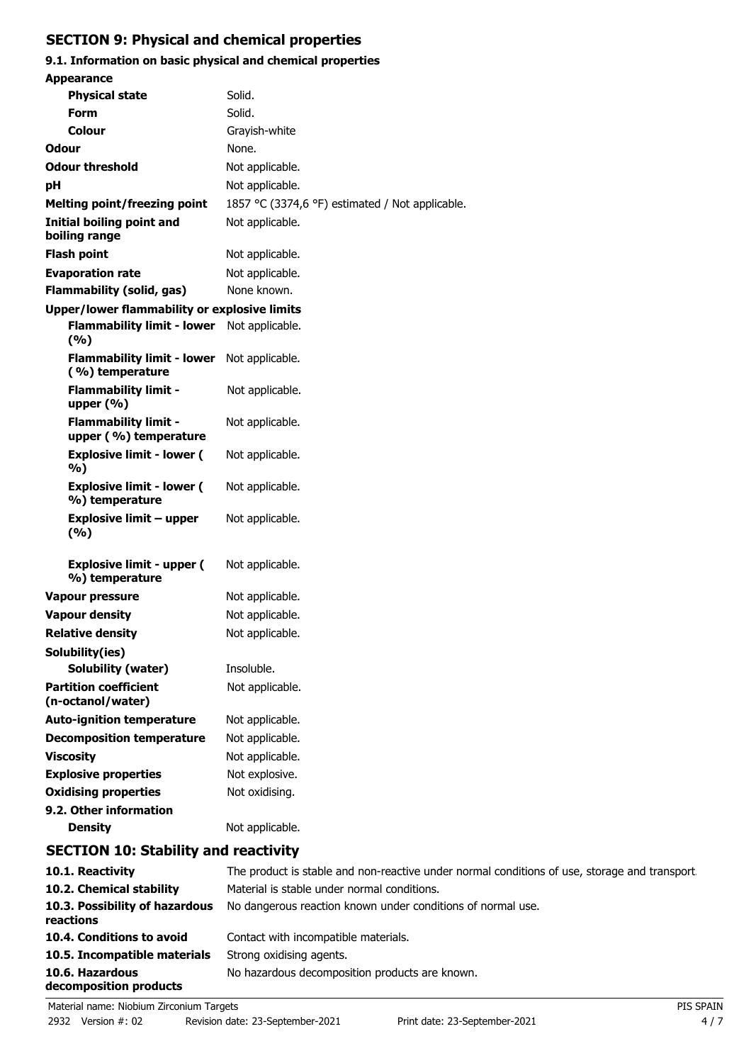# **SECTION 9: Physical and chemical properties**

# **9.1. Information on basic physical and chemical properties**

| <b>Appearance</b>                                    |                                                               |
|------------------------------------------------------|---------------------------------------------------------------|
| <b>Physical state</b>                                | Solid.                                                        |
| <b>Form</b>                                          | Solid.                                                        |
| Colour                                               | Grayish-white                                                 |
| Odour                                                | None.                                                         |
| <b>Odour threshold</b>                               | Not applicable.                                               |
| рH                                                   | Not applicable.                                               |
| <b>Melting point/freezing point</b>                  | 1857 °C (3374,6 °F) estimated / Not applicable.               |
| <b>Initial boiling point and</b><br>boiling range    | Not applicable.                                               |
| <b>Flash point</b>                                   | Not applicable.                                               |
| <b>Evaporation rate</b>                              | Not applicable.                                               |
| <b>Flammability (solid, gas)</b>                     | None known.                                                   |
| <b>Upper/lower flammability or explosive limits</b>  |                                                               |
| <b>Flammability limit - lower</b><br>(%)             | Not applicable.                                               |
| <b>Flammability limit - lower</b><br>(%) temperature | Not applicable.                                               |
| <b>Flammability limit -</b><br>upper $(% )$          | Not applicable.                                               |
| <b>Flammability limit -</b><br>upper (%) temperature | Not applicable.                                               |
| <b>Explosive limit - lower (</b><br>%)               | Not applicable.                                               |
| <b>Explosive limit - lower (</b><br>%) temperature   | Not applicable.                                               |
| <b>Explosive limit - upper</b><br>(%)                | Not applicable.                                               |
| <b>Explosive limit - upper (</b><br>%) temperature   | Not applicable.                                               |
| Vapour pressure                                      | Not applicable.                                               |
| <b>Vapour density</b>                                | Not applicable.                                               |
| <b>Relative density</b>                              | Not applicable.                                               |
| Solubility(ies)                                      |                                                               |
| Solubility (water)                                   | Insoluble.                                                    |
| <b>Partition coefficient</b><br>(n-octanol/water)    | Not applicable.                                               |
| <b>Auto-ignition temperature</b>                     | Not applicable.                                               |
| <b>Decomposition temperature</b>                     | Not applicable.                                               |
| <b>Viscosity</b>                                     | Not applicable.                                               |
| <b>Explosive properties</b>                          | Not explosive.                                                |
| <b>Oxidising properties</b>                          | Not oxidising.                                                |
| 9.2. Other information<br><b>Density</b>             | Not applicable.                                               |
| <b>SECTION 10: Stability and reactivity</b>          |                                                               |
| $101$ Doscrivity                                     | The product is stable and nep reactive under permal condition |

### **10.1. Reactivity** The product is stable and non-reactive under normal conditions of use, storage and transport. **10.2. Chemical stability** Material is stable under normal conditions. 10.3. Possibility of hazardous No dangerous reaction known under conditions of normal use. **reactions 10.4. Conditions to avoid** Contact with incompatible materials. 10.5. Incompatible materials Strong oxidising agents. 10.6. Hazardous **No hazardous decomposition products are known. decomposition products**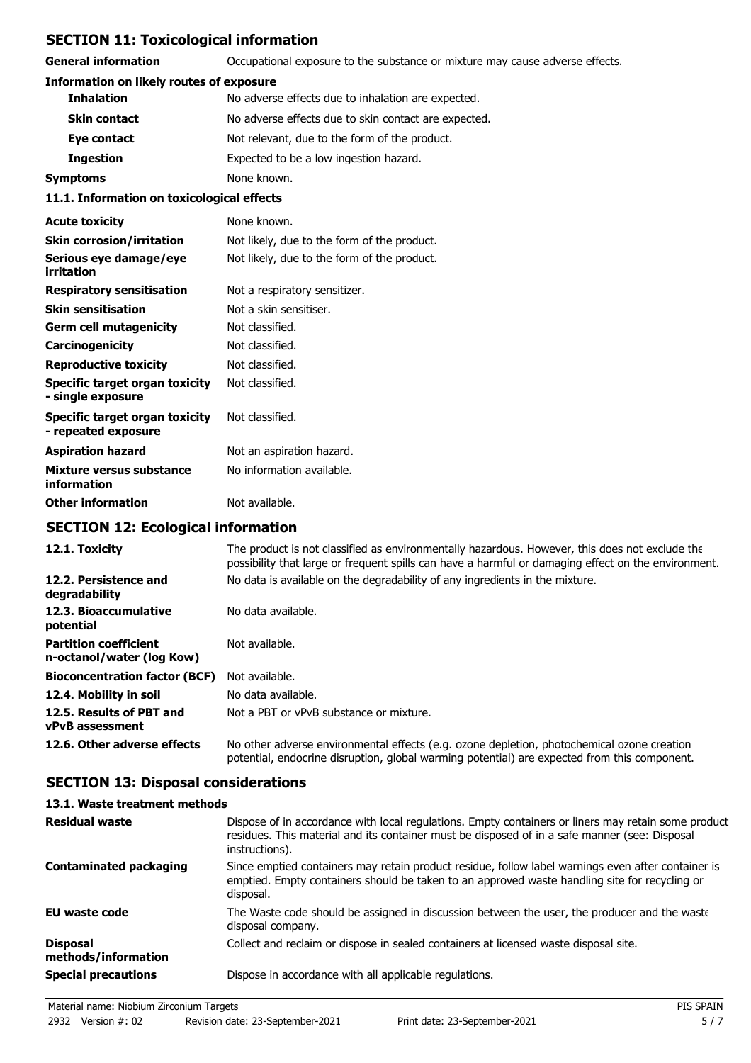# **SECTION 11: Toxicological information**

**General information CCCUPATION** Occupational exposure to the substance or mixture may cause adverse effects.

#### **Information on likely routes of exposure**

| 11 1 Tefaunation an teuiselecisel effecte                  |                                                      |  |
|------------------------------------------------------------|------------------------------------------------------|--|
| Symptoms                                                   | None known.                                          |  |
| Expected to be a low ingestion hazard.<br><b>Ingestion</b> |                                                      |  |
| Eye contact                                                | Not relevant, due to the form of the product.        |  |
| <b>Skin contact</b>                                        | No adverse effects due to skin contact are expected. |  |
| <b>Inhalation</b>                                          | No adverse effects due to inhalation are expected.   |  |

#### **11.1. Information on toxicological effects**

| <b>Acute toxicity</b>                                 | None known.                                 |
|-------------------------------------------------------|---------------------------------------------|
| <b>Skin corrosion/irritation</b>                      | Not likely, due to the form of the product. |
| Serious eye damage/eye<br>irritation                  | Not likely, due to the form of the product. |
| <b>Respiratory sensitisation</b>                      | Not a respiratory sensitizer.               |
| <b>Skin sensitisation</b>                             | Not a skin sensitiser.                      |
| Germ cell mutagenicity                                | Not classified.                             |
| Carcinogenicity                                       | Not classified.                             |
| <b>Reproductive toxicity</b>                          | Not classified.                             |
| Specific target organ toxicity<br>- single exposure   | Not classified.                             |
| Specific target organ toxicity<br>- repeated exposure | Not classified.                             |
| <b>Aspiration hazard</b>                              | Not an aspiration hazard.                   |
| Mixture versus substance<br>information               | No information available.                   |
| <b>Other information</b>                              | Not available.                              |

# **SECTION 12: Ecological information**

| 12.1. Toxicity                                            | The product is not classified as environmentally hazardous. However, this does not exclude the<br>possibility that large or frequent spills can have a harmful or damaging effect on the environment. |
|-----------------------------------------------------------|-------------------------------------------------------------------------------------------------------------------------------------------------------------------------------------------------------|
| 12.2. Persistence and<br>degradability                    | No data is available on the degradability of any ingredients in the mixture.                                                                                                                          |
| 12.3. Bioaccumulative<br>potential                        | No data available.                                                                                                                                                                                    |
| <b>Partition coefficient</b><br>n-octanol/water (log Kow) | Not available.                                                                                                                                                                                        |
| <b>Bioconcentration factor (BCF)</b>                      | Not available.                                                                                                                                                                                        |
| 12.4. Mobility in soil                                    | No data available.                                                                                                                                                                                    |
| 12.5. Results of PBT and<br><b>vPvB</b> assessment        | Not a PBT or vPvB substance or mixture.                                                                                                                                                               |
| 12.6. Other adverse effects                               | No other adverse environmental effects (e.g. ozone depletion, photochemical ozone creation<br>potential, endocrine disruption, global warming potential) are expected from this component.            |

# **SECTION 13: Disposal considerations**

## **13.1. Waste treatment methods**

| <b>Residual waste</b>                  | Dispose of in accordance with local regulations. Empty containers or liners may retain some product<br>residues. This material and its container must be disposed of in a safe manner (see: Disposal<br>instructions). |
|----------------------------------------|------------------------------------------------------------------------------------------------------------------------------------------------------------------------------------------------------------------------|
| <b>Contaminated packaging</b>          | Since emptied containers may retain product residue, follow label warnings even after container is<br>emptied. Empty containers should be taken to an approved waste handling site for recycling or<br>disposal.       |
| EU waste code                          | The Waste code should be assigned in discussion between the user, the producer and the waste<br>disposal company.                                                                                                      |
| <b>Disposal</b><br>methods/information | Collect and reclaim or dispose in sealed containers at licensed waste disposal site.                                                                                                                                   |
| <b>Special precautions</b>             | Dispose in accordance with all applicable regulations.                                                                                                                                                                 |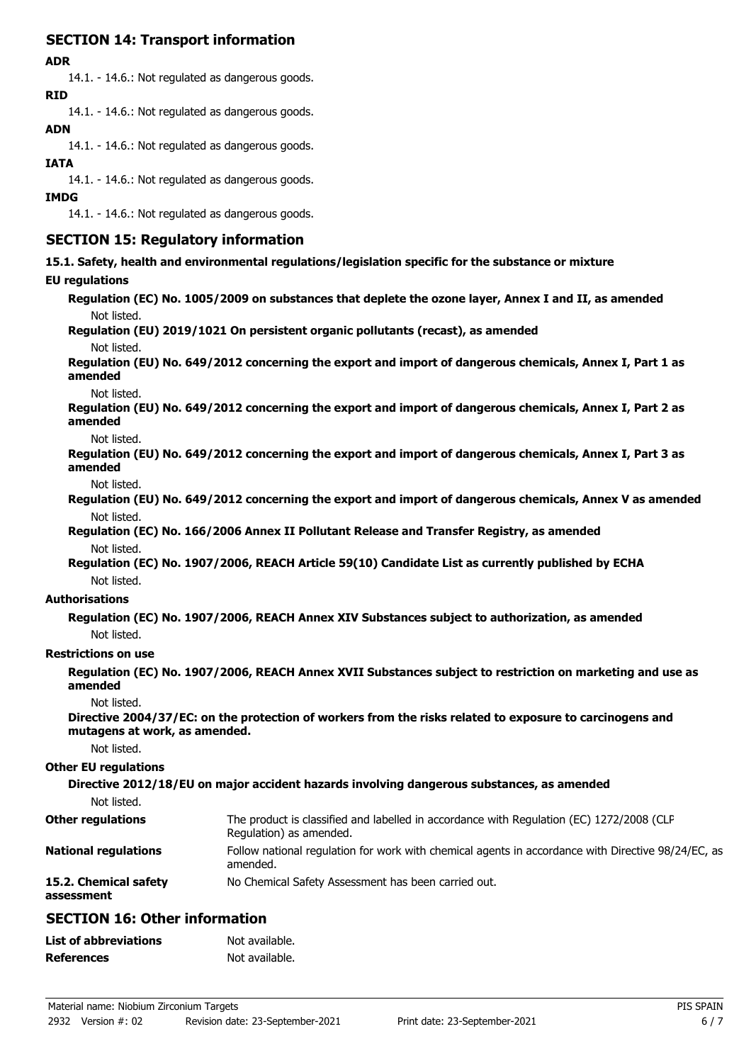# **SECTION 14: Transport information**

#### **ADR**

14.1. - 14.6.: Not regulated as dangerous goods. **RID**

14.1. - 14.6.: Not regulated as dangerous goods.

### **ADN**

14.1. - 14.6.: Not regulated as dangerous goods.

### **IATA**

14.1. - 14.6.: Not regulated as dangerous goods.

#### **IMDG**

14.1. - 14.6.: Not regulated as dangerous goods.

# **SECTION 15: Regulatory information**

**15.1. Safety, health and environmental regulations/legislation specific for the substance or mixture**

### **EU regulations**

**Regulation (EC) No. 1005/2009 on substances that deplete the ozone layer, Annex I and II, as amended** Not listed.

# **Regulation (EU) 2019/1021 On persistent organic pollutants (recast), as amended**

Not listed.

**Regulation (EU) No. 649/2012 concerning the export and import of dangerous chemicals, Annex I, Part 1 as amended**

Not listed.

**Regulation (EU) No. 649/2012 concerning the export and import of dangerous chemicals, Annex I, Part 2 as amended**

Not listed.

**Regulation (EU) No. 649/2012 concerning the export and import of dangerous chemicals, Annex I, Part 3 as amended**

Not listed.

**Regulation (EU) No. 649/2012 concerning the export and import of dangerous chemicals, Annex V as amended** Not listed.

**Regulation (EC) No. 166/2006 Annex II Pollutant Release and Transfer Registry, as amended** Not listed.

**Regulation (EC) No. 1907/2006, REACH Article 59(10) Candidate List as currently published by ECHA** Not listed.

### **Authorisations**

**Regulation (EC) No. 1907/2006, REACH Annex XIV Substances subject to authorization, as amended** Not listed.

### **Restrictions on use**

**Regulation (EC) No. 1907/2006, REACH Annex XVII Substances subject to restriction on marketing and use as amended**

Not listed.

**Directive 2004/37/EC: on the protection of workers from the risks related to exposure to carcinogens and mutagens at work, as amended.**

Not listed.

### **Other EU regulations**

**Directive 2012/18/EU on major accident hazards involving dangerous substances, as amended**

Not listed.

| <b>Other regulations</b>            | The product is classified and labelled in accordance with Regulation (EC) 1272/2008 (CLP<br>Regulation) as amended. |
|-------------------------------------|---------------------------------------------------------------------------------------------------------------------|
| <b>National regulations</b>         | Follow national regulation for work with chemical agents in accordance with Directive 98/24/EC, as<br>amended.      |
| 15.2. Chemical safety<br>assessment | No Chemical Safety Assessment has been carried out.                                                                 |

# **SECTION 16: Other information**

| <b>List of abbreviations</b> | Not available. |
|------------------------------|----------------|
| <b>References</b>            | Not available. |